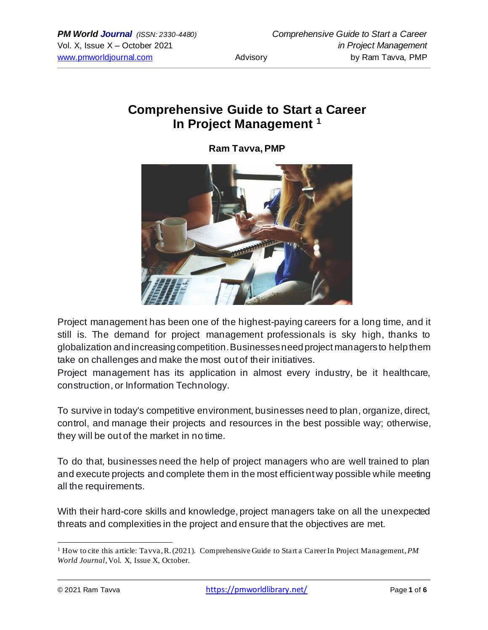# **Comprehensive Guide to Start a Career In Project Management <sup>1</sup>**

**Ram Tavva, PMP**



Project management has been one of the highest-paying careers for a long time, and it still is. The demand for project management professionals is sky high, thanks to globalization and increasing competition. Businesses need project managers to help them take on challenges and make the most out of their initiatives.

Project management has its application in almost every industry, be it healthcare, construction, or Information Technology.

To survive in today's competitive environment, businesses need to plan, organize, direct, control, and manage their projects and resources in the best possible way; otherwise, they will be out of the market in no time.

To do that, businesses need the help of project managers who are well trained to plan and execute projects and complete them in the most efficient way possible while meeting all the requirements.

With their hard-core skills and knowledge, project managers take on all the unexpected threats and complexities in the project and ensure that the objectives are met.

<sup>&</sup>lt;sup>1</sup> How to cite this article: Tavva, R. (2021). Comprehensive Guide to Start a Career In Project Management, *PM World Journal*, Vol. X, Issue X, October.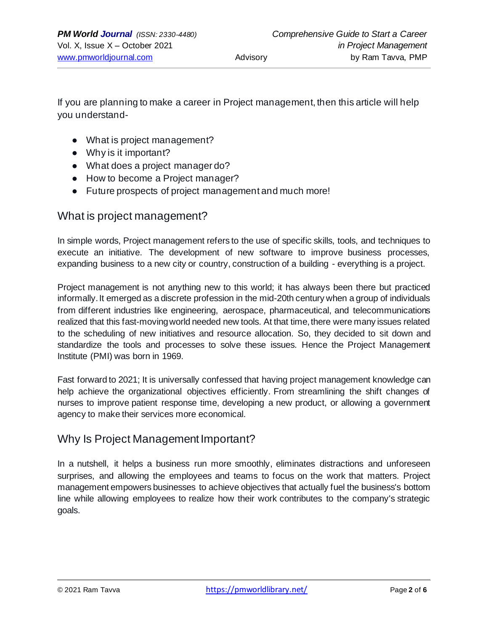If you are planning to make a career in Project management, then this article will help you understand-

- What is project management?
- Why is it important?
- What does a project manager do?
- How to become a Project manager?
- Future prospects of project management and much more!

## What is project management?

In simple words, Project management refers to the use of specific skills, tools, and techniques to execute an initiative. The development of new software to improve business processes, expanding business to a new city or country, construction of a building - everything is a project.

Project management is not anything new to this world; it has always been there but practiced informally. It emerged as a discrete profession in the mid-20th century when a group of individuals from different industries like engineering, aerospace, pharmaceutical, and telecommunications realized that this fast-moving world needed new tools. At that time, there were many issues related to the scheduling of new initiatives and resource allocation. So, they decided to sit down and standardize the tools and processes to solve these issues. Hence the Project Management Institute (PMI) was born in 1969.

Fast forward to 2021; It is universally confessed that having project management knowledge can help achieve the organizational objectives efficiently. From streamlining the shift changes of nurses to improve patient response time, developing a new product, or allowing a government agency to make their services more economical.

## Why Is Project Management Important?

In a nutshell, it helps a business run more smoothly, eliminates distractions and unforeseen surprises, and allowing the employees and teams to focus on the work that matters. Project management empowers businesses to achieve objectives that actually fuel the business's bottom line while allowing employees to realize how their work contributes to the company's strategic goals.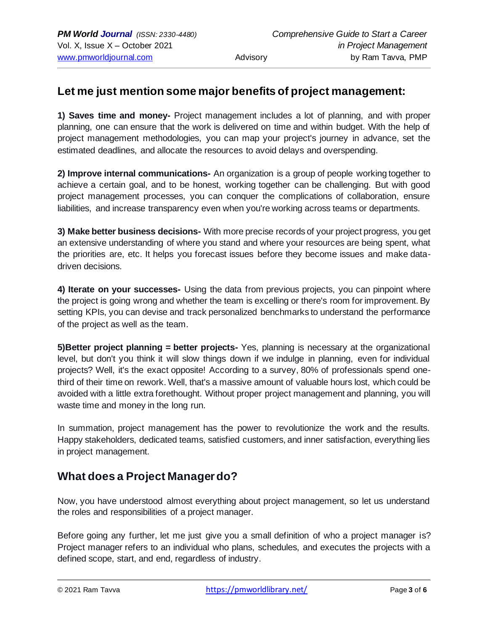## **Let me just mention some major benefits of project management:**

**1) Saves time and money-** Project management includes a lot of planning, and with proper planning, one can ensure that the work is delivered on time and within budget. With the help of project management methodologies, you can map your project's journey in advance, set the estimated deadlines, and allocate the resources to avoid delays and overspending.

**2) Improve internal communications-** An organization is a group of people working together to achieve a certain goal, and to be honest, working together can be challenging. But with good project management processes, you can conquer the complications of collaboration, ensure liabilities, and increase transparency even when you're working across teams or departments.

**3) Make better business decisions-** With more precise records of your project progress, you get an extensive understanding of where you stand and where your resources are being spent, what the priorities are, etc. It helps you forecast issues before they become issues and make datadriven decisions.

**4) Iterate on your successes-** Using the data from previous projects, you can pinpoint where the project is going wrong and whether the team is excelling or there's room for improvement. By setting KPIs, you can devise and track personalized benchmarks to understand the performance of the project as well as the team.

**5)Better project planning = better projects-** Yes, planning is necessary at the organizational level, but don't you think it will slow things down if we indulge in planning, even for individual projects? Well, it's the exact opposite! According to a survey, 80% of professionals spend onethird of their time on rework. Well, that's a massive amount of valuable hours lost, which could be avoided with a little extra forethought. Without proper project management and planning, you will waste time and money in the long run.

In summation, project management has the power to revolutionize the work and the results. Happy stakeholders, dedicated teams, satisfied customers, and inner satisfaction, everything lies in project management.

# **What does a Project Manager do?**

Now, you have understood almost everything about project management, so let us understand the roles and responsibilities of a project manager.

Before going any further, let me just give you a small definition of who a project manager is? Project manager refers to an individual who plans, schedules, and executes the projects with a defined scope, start, and end, regardless of industry.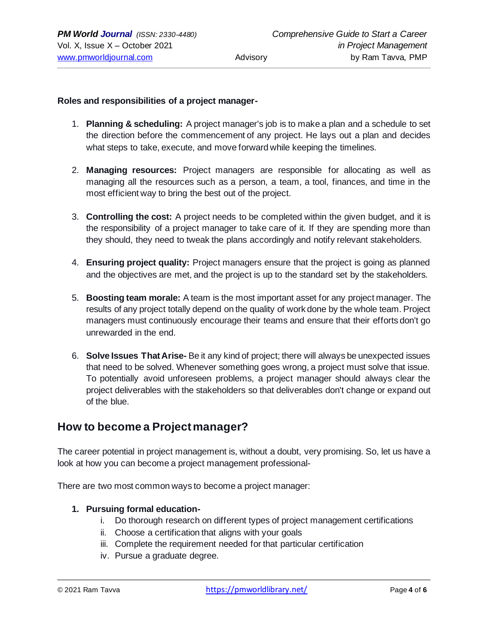## **Roles and responsibilities of a project manager-**

- 1. **Planning & scheduling:** A project manager's job is to make a plan and a schedule to set the direction before the commencement of any project. He lays out a plan and decides what steps to take, execute, and move forward while keeping the timelines.
- 2. **Managing resources:** Project managers are responsible for allocating as well as managing all the resources such as a person, a team, a tool, finances, and time in the most efficient way to bring the best out of the project.
- 3. **Controlling the cost:** A project needs to be completed within the given budget, and it is the responsibility of a project manager to take care of it. If they are spending more than they should, they need to tweak the plans accordingly and notify relevant stakeholders.
- 4. **Ensuring project quality:** Project managers ensure that the project is going as planned and the objectives are met, and the project is up to the standard set by the stakeholders.
- 5. **Boosting team morale:** A team is the most important asset for any project manager. The results of any project totally depend on the quality of work done by the whole team. Project managers must continuously encourage their teams and ensure that their efforts don't go unrewarded in the end.
- 6. **Solve Issues That Arise-** Be it any kind of project; there will always be unexpected issues that need to be solved. Whenever something goes wrong, a project must solve that issue. To potentially avoid unforeseen problems, a project manager should always clear the project deliverables with the stakeholders so that deliverables don't change or expand out of the blue.

## **How to become a Project manager?**

The career potential in project management is, without a doubt, very promising. So, let us have a look at how you can become a project management professional-

There are two most common ways to become a project manager:

### **1. Pursuing formal education-**

- i. Do thorough research on different types of project management certifications
- ii. Choose a certification that aligns with your goals
- iii. Complete the requirement needed for that particular certification
- iv. Pursue a graduate degree.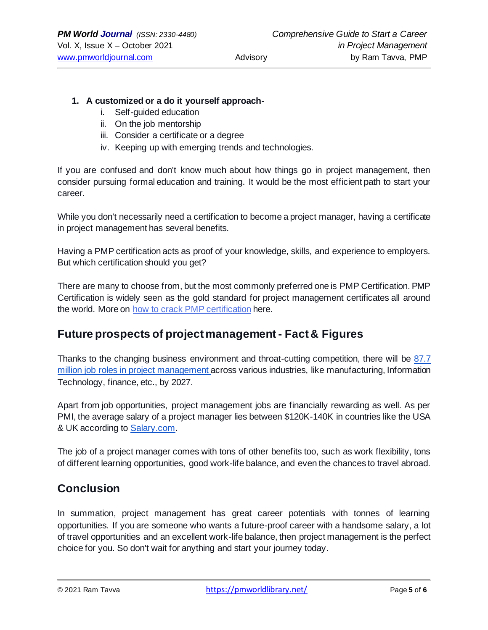#### **1. A customized or a do it yourself approach-**

- i. Self-guided education
- ii. On the job mentorship
- iii. Consider a certificate or a degree
- iv. Keeping up with emerging trends and technologies.

If you are confused and don't know much about how things go in project management, then consider pursuing formal education and training. It would be the most efficient path to start your career.

While you don't necessarily need a certification to become a project manager, having a certificate in project management has several benefits.

Having a PMP certification acts as proof of your knowledge, skills, and experience to employers. But which certification should you get?

There are many to choose from, but the most commonly preferred one is PMP Certification. PMP Certification is widely seen as the gold standard for project management certificates all around the world. More on how to crack [PMP certification](https://www.excelr.com/blog/project-management/cracking-pmp-at-1st-attempt-all-you-need-to-know-for-new-exam-pattern) here.

# **Future prospects of project management - Fact & Figures**

Thanks to the changing business environment and throat-cutting competition, there will be 87.7 [million job roles in project management a](https://www.pmi.org/learning/careers/job-growth)cross various industries, like manufacturing, Information Technology, finance, etc., by 2027.

Apart from job opportunities, project management jobs are financially rewarding as well. As per PMI, the average salary of a project manager lies between \$120K-140K in countries like the USA & UK according to [Salary.com.](https://www.salary.com/research/salary/certificate/project-management-professional-pmp-salary)

The job of a project manager comes with tons of other benefits too, such as work flexibility, tons of different learning opportunities, good work-life balance, and even the chances to travel abroad.

# **Conclusion**

In summation, project management has great career potentials with tonnes of learning opportunities. If you are someone who wants a future-proof career with a handsome salary, a lot of travel opportunities and an excellent work-life balance, then project management is the perfect choice for you. So don't wait for anything and start your journey today.